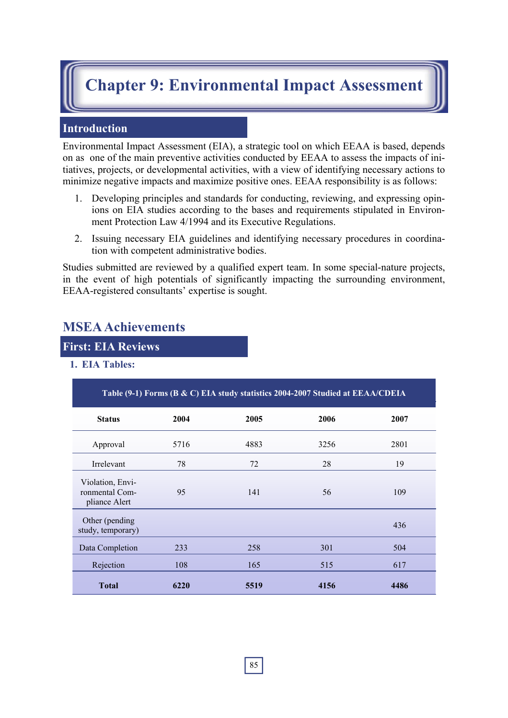# **Chapter 9: Environmental Impact Assessment**

# **Introduction**

Environmental Impact Assessment (EIA), a strategic tool on which EEAA is based, depends on as one of the main preventive activities conducted by EEAA to assess the impacts of initiatives, projects, or developmental activities, with a view of identifying necessary actions to minimize negative impacts and maximize positive ones. EEAA responsibility is as follows:

- 1. Developing principles and standards for conducting, reviewing, and expressing opinions on EIA studies according to the bases and requirements stipulated in Environment Protection Law 4/1994 and its Executive Regulations.
- 2. Issuing necessary EIA guidelines and identifying necessary procedures in coordination with competent administrative bodies.

Studies submitted are reviewed by a qualified expert team. In some special-nature projects, in the event of high potentials of significantly impacting the surrounding environment, EEAA-registered consultants' expertise is sought.

# **MSEA Achievements**

## **First: EIA Reviews**

**1. EIA Tables:** 

| Table (9-1) Forms (B & C) EIA study statistics 2004-2007 Studied at EEAA/CDEIA |      |      |              |      |  |  |  |  |  |  |
|--------------------------------------------------------------------------------|------|------|--------------|------|--|--|--|--|--|--|
| <b>Status</b>                                                                  | 2004 | 2005 | 2006         | 2007 |  |  |  |  |  |  |
| Approval                                                                       | 5716 | 4883 | 3256         | 2801 |  |  |  |  |  |  |
| Irrelevant                                                                     | 78   | 72   | 28           | 19   |  |  |  |  |  |  |
| Violation, Envi-<br>ronmental Com-<br>pliance Alert                            | 95   | 141  | 56           | 109  |  |  |  |  |  |  |
| Other (pending<br>study, temporary)                                            |      |      |              | 436  |  |  |  |  |  |  |
| Data Completion                                                                | 233  | 258  | 301          | 504  |  |  |  |  |  |  |
| Rejection                                                                      | 108  | 165  | 515          | 617  |  |  |  |  |  |  |
| <b>Total</b>                                                                   | 6220 | 5519 | 4156<br>4486 |      |  |  |  |  |  |  |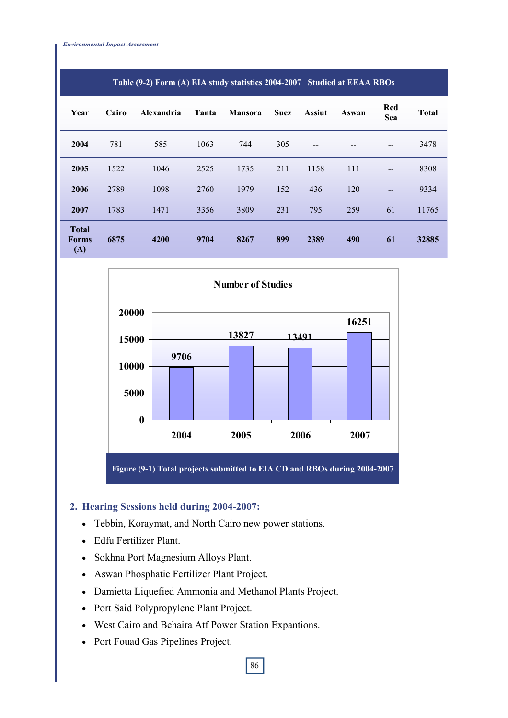| Year                                | Cairo | Alexandria | Tanta | <b>Mansora</b> | <b>Suez</b> | <b>Assiut</b> | Aswan | Red<br>Sea | <b>Total</b> |
|-------------------------------------|-------|------------|-------|----------------|-------------|---------------|-------|------------|--------------|
| 2004                                | 781   | 585        | 1063  | 744            | 305         | --            |       |            | 3478         |
| 2005                                | 1522  | 1046       | 2525  | 1735           | 211         | 1158          | 111   | $- -$      | 8308         |
| 2006                                | 2789  | 1098       | 2760  | 1979           | 152         | 436           | 120   | $- -$      | 9334         |
| 2007                                | 1783  | 1471       | 3356  | 3809           | 231         | 795           | 259   | 61         | 11765        |
| <b>Total</b><br><b>Forms</b><br>(A) | 6875  | 4200       | 9704  | 8267           | 899         | 2389          | 490   | 61         | 32885        |

#### **Table (9-2) Form (A) EIA study statistics 2004-2007 Studied at EEAA RBOs**



#### **2. Hearing Sessions held during 2004-2007:**

- Tebbin, Koraymat, and North Cairo new power stations.
- Edfu Fertilizer Plant.
- Sokhna Port Magnesium Alloys Plant.
- Aswan Phosphatic Fertilizer Plant Project.
- Damietta Liquefied Ammonia and Methanol Plants Project.
- Port Said Polypropylene Plant Project.
- West Cairo and Behaira Atf Power Station Expantions.
- Port Fouad Gas Pipelines Project.

86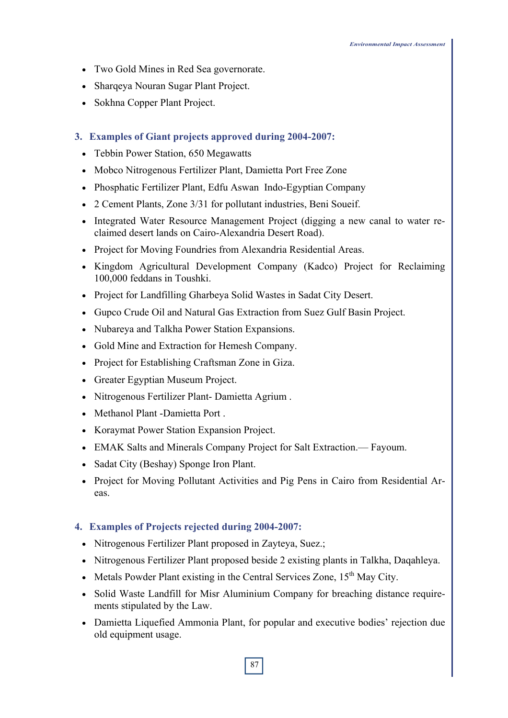- Two Gold Mines in Red Sea governorate.
- Sharqeya Nouran Sugar Plant Project.
- Sokhna Copper Plant Project.
- **3. Examples of Giant projects approved during 2004-2007:** 
	- Tebbin Power Station, 650 Megawatts
	- Mobco Nitrogenous Fertilizer Plant, Damietta Port Free Zone
	- Phosphatic Fertilizer Plant, Edfu Aswan Indo-Egyptian Company
	- 2 Cement Plants, Zone 3/31 for pollutant industries, Beni Soueif.
	- Integrated Water Resource Management Project (digging a new canal to water reclaimed desert lands on Cairo-Alexandria Desert Road).
	- Project for Moving Foundries from Alexandria Residential Areas.
	- Kingdom Agricultural Development Company (Kadco) Project for Reclaiming 100,000 feddans in Toushki.
	- Project for Landfilling Gharbeya Solid Wastes in Sadat City Desert.
	- Gupco Crude Oil and Natural Gas Extraction from Suez Gulf Basin Project.
	- Nubareya and Talkha Power Station Expansions.
	- Gold Mine and Extraction for Hemesh Company.
	- Project for Establishing Craftsman Zone in Giza.
	- Greater Egyptian Museum Project.
	- Nitrogenous Fertilizer Plant- Damietta Agrium .
	- Methanol Plant -Damietta Port .
	- Koraymat Power Station Expansion Project.
	- EMAK Salts and Minerals Company Project for Salt Extraction.— Fayoum.
	- Sadat City (Beshay) Sponge Iron Plant.
	- Project for Moving Pollutant Activities and Pig Pens in Cairo from Residential Areas.

## **4. Examples of Projects rejected during 2004-2007:**

- Nitrogenous Fertilizer Plant proposed in Zayteya, Suez.;
- Nitrogenous Fertilizer Plant proposed beside 2 existing plants in Talkha, Daqahleya.
- Metals Powder Plant existing in the Central Services Zone,  $15<sup>th</sup>$  May City.
- Solid Waste Landfill for Misr Aluminium Company for breaching distance requirements stipulated by the Law.
- Damietta Liquefied Ammonia Plant, for popular and executive bodies' rejection due old equipment usage.